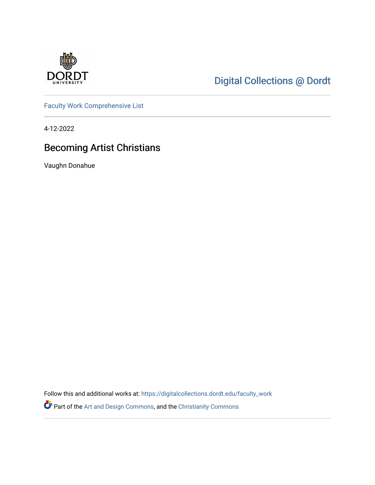

# [Digital Collections @ Dordt](https://digitalcollections.dordt.edu/)

[Faculty Work Comprehensive List](https://digitalcollections.dordt.edu/faculty_work)

4-12-2022

## Becoming Artist Christians

Vaughn Donahue

Follow this and additional works at: [https://digitalcollections.dordt.edu/faculty\\_work](https://digitalcollections.dordt.edu/faculty_work?utm_source=digitalcollections.dordt.edu%2Ffaculty_work%2F1381&utm_medium=PDF&utm_campaign=PDFCoverPages) 

Part of the [Art and Design Commons](http://network.bepress.com/hgg/discipline/1049?utm_source=digitalcollections.dordt.edu%2Ffaculty_work%2F1381&utm_medium=PDF&utm_campaign=PDFCoverPages), and the [Christianity Commons](http://network.bepress.com/hgg/discipline/1181?utm_source=digitalcollections.dordt.edu%2Ffaculty_work%2F1381&utm_medium=PDF&utm_campaign=PDFCoverPages)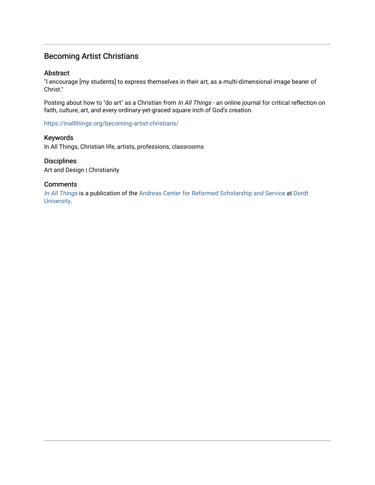### Becoming Artist Christians

### Abstract

"I encourage [my students] to express themselves in their art, as a multi-dimensional image bearer of Christ."

Posting about how to "do art" as a Christian from In All Things - an online journal for critical reflection on faith, culture, art, and every ordinary-yet-graced square inch of God's creation.

<https://inallthings.org/becoming-artist-christians/>

### Keywords

In All Things, Christian life, artists, professions, classrooms

### **Disciplines**

Art and Design | Christianity

### **Comments**

[In All Things](http://inallthings.org/) is a publication of the [Andreas Center for Reformed Scholarship and Service](http://www.dordt.edu/services_support/andreas_center/) at Dordt [University](http://www.dordt.edu/).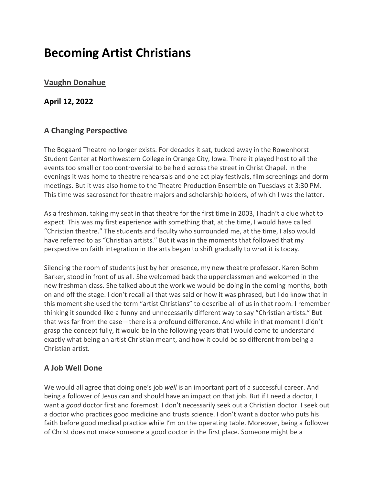# **Becoming Artist Christians**

## **[Vaughn Donahue](https://inallthings.org/author/vdonahue/)**

### **April 12, 2022**

### **A Changing Perspective**

The Bogaard Theatre no longer exists. For decades it sat, tucked away in the Rowenhorst Student Center at Northwestern College in Orange City, Iowa. There it played host to all the events too small or too controversial to be held across the street in Christ Chapel. In the evenings it was home to theatre rehearsals and one act play festivals, film screenings and dorm meetings. But it was also home to the Theatre Production Ensemble on Tuesdays at 3:30 PM. This time was sacrosanct for theatre majors and scholarship holders, of which I was the latter.

As a freshman, taking my seat in that theatre for the first time in 2003, I hadn't a clue what to expect. This was my first experience with something that, at the time, I would have called "Christian theatre." The students and faculty who surrounded me, at the time, I also would have referred to as "Christian artists." But it was in the moments that followed that my perspective on faith integration in the arts began to shift gradually to what it is today.

Silencing the room of students just by her presence, my new theatre professor, Karen Bohm Barker, stood in front of us all. She welcomed back the upperclassmen and welcomed in the new freshman class. She talked about the work we would be doing in the coming months, both on and off the stage. I don't recall all that was said or how it was phrased, but I do know that in this moment she used the term "artist Christians" to describe all of us in that room. I remember thinking it sounded like a funny and unnecessarily different way to say "Christian artists." But that was far from the case—there is a profound difference. And while in that moment I didn't grasp the concept fully, it would be in the following years that I would come to understand exactly what being an artist Christian meant, and how it could be so different from being a Christian artist.

## **A Job Well Done**

We would all agree that doing one's job *well* is an important part of a successful career. And being a follower of Jesus can and should have an impact on that job. But if I need a doctor, I want a *good* doctor first and foremost. I don't necessarily seek out a Christian doctor. I seek out a doctor who practices good medicine and trusts science. I don't want a doctor who puts his faith before good medical practice while I'm on the operating table. Moreover, being a follower of Christ does not make someone a good doctor in the first place. Someone might be a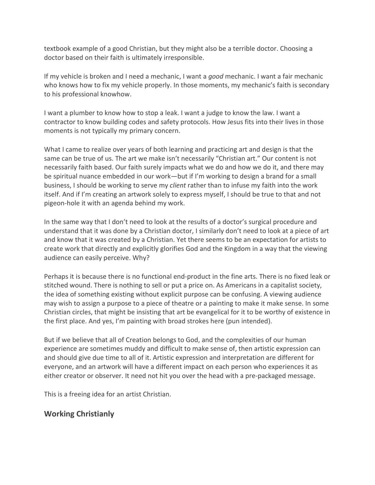textbook example of a good Christian, but they might also be a terrible doctor. Choosing a doctor based on their faith is ultimately irresponsible.

If my vehicle is broken and I need a mechanic, I want a *good* mechanic. I want a fair mechanic who knows how to fix my vehicle properly. In those moments, my mechanic's faith is secondary to his professional knowhow.

I want a plumber to know how to stop a leak. I want a judge to know the law. I want a contractor to know building codes and safety protocols. How Jesus fits into their lives in those moments is not typically my primary concern.

What I came to realize over years of both learning and practicing art and design is that the same can be true of us. The art we make isn't necessarily "Christian art." Our content is not necessarily faith based. Our faith surely impacts what we do and how we do it, and there may be spiritual nuance embedded in our work—but if I'm working to design a brand for a small business, I should be working to serve my *client* rather than to infuse my faith into the work itself. And if I'm creating an artwork solely to express myself, I should be true to that and not pigeon-hole it with an agenda behind my work.

In the same way that I don't need to look at the results of a doctor's surgical procedure and understand that it was done by a Christian doctor, I similarly don't need to look at a piece of art and know that it was created by a Christian. Yet there seems to be an expectation for artists to create work that directly and explicitly glorifies God and the Kingdom in a way that the viewing audience can easily perceive. Why?

Perhaps it is because there is no functional end-product in the fine arts. There is no fixed leak or stitched wound. There is nothing to sell or put a price on. As Americans in a capitalist society, the idea of something existing without explicit purpose can be confusing. A viewing audience may wish to assign a purpose to a piece of theatre or a painting to make it make sense. In some Christian circles, that might be insisting that art be evangelical for it to be worthy of existence in the first place. And yes, I'm painting with broad strokes here (pun intended).

But if we believe that all of Creation belongs to God, and the complexities of our human experience are sometimes muddy and difficult to make sense of, then artistic expression can and should give due time to all of it. Artistic expression and interpretation are different for everyone, and an artwork will have a different impact on each person who experiences it as either creator or observer. It need not hit you over the head with a pre-packaged message.

This is a freeing idea for an artist Christian.

## **Working Christianly**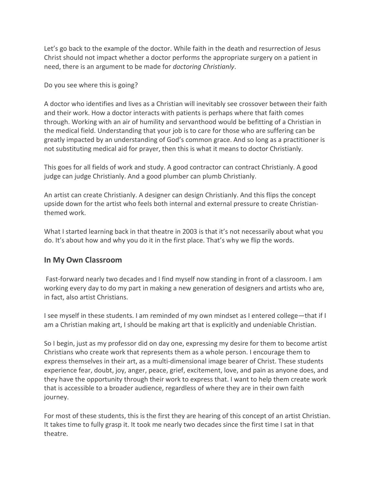Let's go back to the example of the doctor. While faith in the death and resurrection of Jesus Christ should not impact whether a doctor performs the appropriate surgery on a patient in need, there is an argument to be made for *doctoring Christianly*.

Do you see where this is going?

A doctor who identifies and lives as a Christian will inevitably see crossover between their faith and their work. How a doctor interacts with patients is perhaps where that faith comes through. Working with an air of humility and servanthood would be befitting of a Christian in the medical field. Understanding that your job is to care for those who are suffering can be greatly impacted by an understanding of God's common grace. And so long as a practitioner is not substituting medical aid for prayer, then this is what it means to doctor Christianly.

This goes for all fields of work and study. A good contractor can contract Christianly. A good judge can judge Christianly. And a good plumber can plumb Christianly.

An artist can create Christianly. A designer can design Christianly. And this flips the concept upside down for the artist who feels both internal and external pressure to create Christianthemed work.

What I started learning back in that theatre in 2003 is that it's not necessarily about what you do. It's about how and why you do it in the first place. That's why we flip the words.

## **In My Own Classroom**

Fast-forward nearly two decades and I find myself now standing in front of a classroom. I am working every day to do my part in making a new generation of designers and artists who are, in fact, also artist Christians.

I see myself in these students. I am reminded of my own mindset as I entered college—that if I am a Christian making art, I should be making art that is explicitly and undeniable Christian.

So I begin, just as my professor did on day one, expressing my desire for them to become artist Christians who create work that represents them as a whole person. I encourage them to express themselves in their art, as a multi-dimensional image bearer of Christ. These students experience fear, doubt, joy, anger, peace, grief, excitement, love, and pain as anyone does, and they have the opportunity through their work to express that. I want to help them create work that is accessible to a broader audience, regardless of where they are in their own faith journey.

For most of these students, this is the first they are hearing of this concept of an artist Christian. It takes time to fully grasp it. It took me nearly two decades since the first time I sat in that theatre.